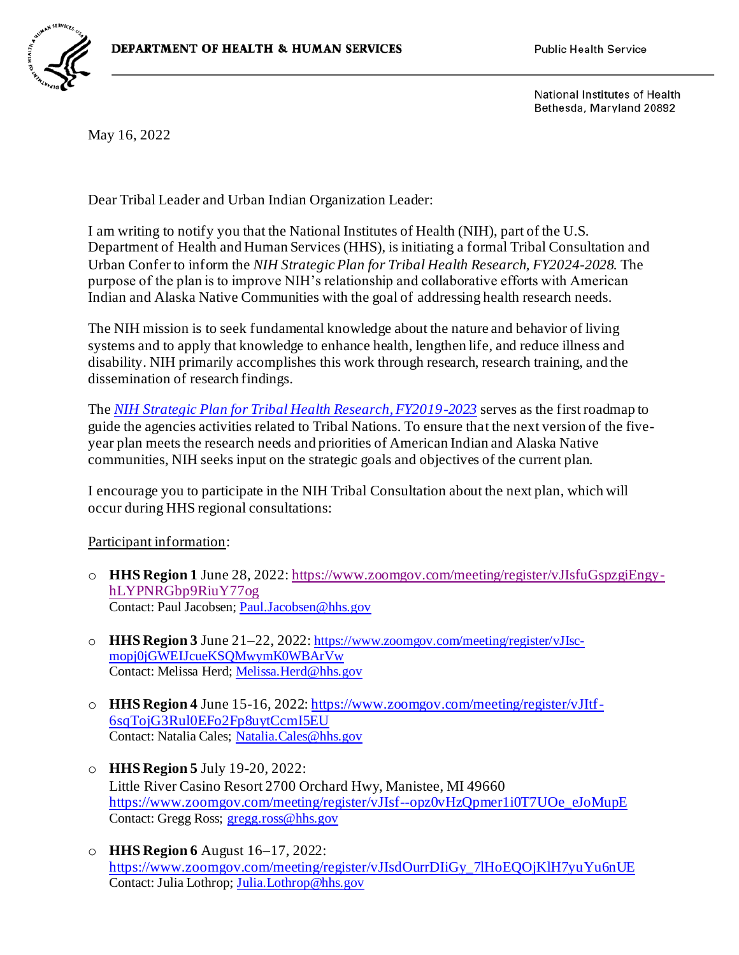

National Institutes of Health Bethesda, Maryland 20892

May 16, 2022

Dear Tribal Leader and Urban Indian Organization Leader:

I am writing to notify you that the National Institutes of Health (NIH), part of the U.S. Department of Health and Human Services (HHS), is initiating a formal Tribal Consultation and Urban Confer to inform the *NIH Strategic Plan for Tribal Health Research, FY2024-2028.* The purpose of the plan is to improve NIH's relationship and collaborative efforts with American Indian and Alaska Native Communities with the goal of addressing health research needs.

The NIH mission is to seek fundamental knowledge about the nature and behavior of living systems and to apply that knowledge to enhance health, lengthen life, and reduce illness and disability. NIH primarily accomplishes this work through research, research training, and the dissemination of research findings.

The *[NIH Strategic Plan for Tribal Health Research, FY2019-2023](https://dpcpsi.nih.gov/sites/default/files/2019_THRO_StrategicPlan_508.pdf)* serves as the first roadmap to guide the agencies activities related to Tribal Nations. To ensure that the next version of the fiveyear plan meets the research needs and priorities of American Indian and Alaska Native communities, NIH seeks input on the strategic goals and objectives of the current plan.

I encourage you to participate in the NIH Tribal Consultation about the next plan, which will occur during HHS regional consultations:

Participant information:

- o **HHS Region 1** June 28, 2022[: https://www.zoomgov.com/meeting/register/vJIsfuGspzgiEngy](https://www.zoomgov.com/meeting/register/vJIsfuGspzgiEngy-hLYPNRGbp9RiuY77og)[hLYPNRGbp9RiuY77og](https://www.zoomgov.com/meeting/register/vJIsfuGspzgiEngy-hLYPNRGbp9RiuY77og) Contact: Paul Jacobsen[; Paul.Jacobsen@hhs.gov](mailto:Paul.Jacobsen@hhs.gov)
- o **HHS Region 3** June 21–22, 2022: [https://www.zoomgov.com/meeting/register/vJIsc](https://www.zoomgov.com/meeting/register/vJIsc-mopj0jGWEIJcueKSQMwymK0WBArVw)[mopj0jGWEIJcueKSQMwymK0WBArVw](https://www.zoomgov.com/meeting/register/vJIsc-mopj0jGWEIJcueKSQMwymK0WBArVw) Contact: Melissa Herd; [Melissa.Herd@hhs.gov](mailto:Melissa.Herd@hhs.gov)
- o **HHS Region 4** June 15-16, 2022[: https://www.zoomgov.com/meeting/register/vJItf-](https://www.zoomgov.com/meeting/register/vJItf-6sqTojG3Rul0EFo2Fp8uytCcmI5EU)[6sqTojG3Rul0EFo2Fp8uytCcmI5EU](https://www.zoomgov.com/meeting/register/vJItf-6sqTojG3Rul0EFo2Fp8uytCcmI5EU) Contact: Natalia Cales; [Natalia.Cales@hhs.gov](mailto:Natalia.Cales@hhs.gov)
- o **HHS Region 5** July 19-20, 2022: Little River Casino Resort 2700 Orchard Hwy, Manistee, MI 49660 [https://www.zoomgov.com/meeting/register/vJIsf--opz0vHzQpmer1i0T7UOe\\_eJoMupE](https://www.zoomgov.com/meeting/register/vJIsf--opz0vHzQpmer1i0T7UOe_eJoMupE) Contact: Gregg Ross; [gregg.ross@hhs.gov](mailto:gregg.ross@hhs.gov)
- o **HHS Region 6** August 16–17, 2022: [https://www.zoomgov.com/meeting/register/vJIsdOurrDIiGy\\_7lHoEQOjKlH7yuYu6nUE](https://www.zoomgov.com/meeting/register/vJIsdOurrDIiGy_7lHoEQOjKlH7yuYu6nUE) Contact: Julia Lothrop[; Julia.Lothrop@hhs.gov](mailto:Julia.Lothrop@hhs.gov)